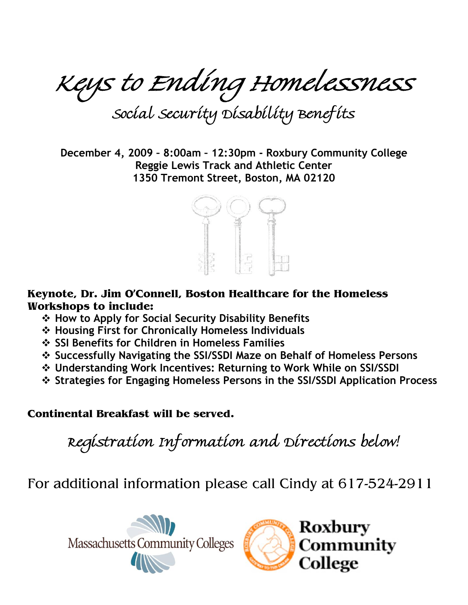Keys to Ending Homelessness

Social Security Disability Benefits

**December 4, 2009 – 8:00am – 12:30pm ‐ Roxbury Community College Reggie Lewis Track and Athletic Center 1350 Tremont Street, Boston, MA 02120**



#### Keynote, Dr. Jim O'Connell, Boston Healthcare for the Homeless **Workshops to include:**

- **How to Apply for Social Security Disability Benefits**
- **Housing First for Chronically Homeless Individuals**
- **SSI Benefits for Children in Homeless Families**
- **Successfully Navigating the SSI/SSDI Maze on Behalf of Homeless Persons**
- **Understanding Work Incentives: Returning to Work While on SSI/SSDI**
- **Strategies for Engaging Homeless Persons in the SSI/SSDI Application Process**

Continental Breakfast will be served.

Registration Information and Directions below!

For additional information please call Cindy at 617-524-2911



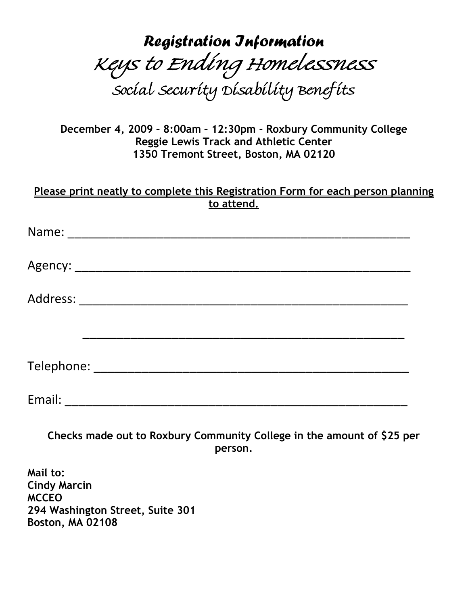Registration Jnformation Keys to Ending Homelessness Social Security Disability Benefits

**December 4, 2009 – 8:00am – 12:30pm ‐ Roxbury Community College Reggie Lewis Track and Athletic Center 1350 Tremont Street, Boston, MA 02120**

| Please print neatly to complete this Registration Form for each person planning<br>to attend.                  |  |
|----------------------------------------------------------------------------------------------------------------|--|
|                                                                                                                |  |
|                                                                                                                |  |
|                                                                                                                |  |
|                                                                                                                |  |
| Telephone: The contract of the contract of the contract of the contract of the contract of the contract of the |  |
| Email:                                                                                                         |  |

**Checks made out to Roxbury Community College in the amount of \$25 per person.**

**Mail to: Cindy Marcin MCCEO 294 Washington Street, Suite 301 Boston, MA 02108**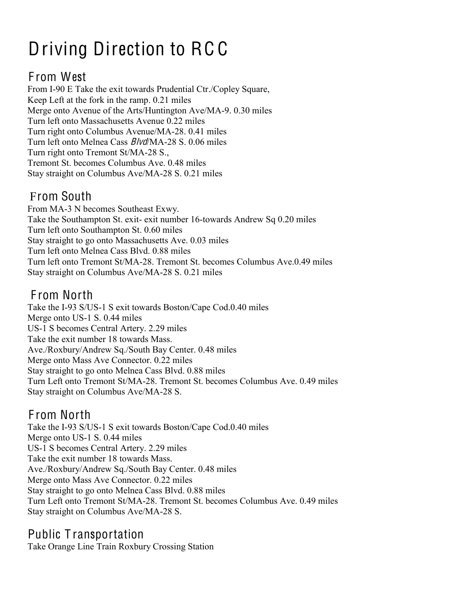# Driving Direction to RC C

## F rom West

From I-90 E Take the exit towards Prudential Ctr./Copley Square, Keep Left at the fork in the ramp. 0.21 miles Merge onto Avenue of the Arts/Huntington Ave/MA-9. 0.30 miles Turn left onto Massachusetts Avenue 0.22 miles Turn right onto Columbus Avenue/MA-28. 0.41 miles Turn left onto Melnea Cass Blvd/MA-28 S. 0.06 miles Turn right onto Tremont St/MA-28 S., Tremont St. becomes Columbus Ave. 0.48 miles Stay straight on Columbus Ave/MA-28 S. 0.21 miles

### From South

From MA-3 N becomes Southeast Exwy. Take the Southampton St. exit- exit number 16-towards Andrew Sq 0.20 miles Turn left onto Southampton St. 0.60 miles Stay straight to go onto Massachusetts Ave. 0.03 miles Turn left onto Melnea Cass Blvd. 0.88 miles Turn left onto Tremont St/MA-28. Tremont St. becomes Columbus Ave.0.49 miles Stay straight on Columbus Ave/MA-28 S. 0.21 miles

### F rom North

Take the I-93 S/US-1 S exit towards Boston/Cape Cod.0.40 miles Merge onto US-1 S. 0.44 miles US-1 S becomes Central Artery. 2.29 miles Take the exit number 18 towards Mass. Ave./Roxbury/Andrew Sq./South Bay Center. 0.48 miles Merge onto Mass Ave Connector. 0.22 miles Stay straight to go onto Melnea Cass Blvd. 0.88 miles Turn Left onto Tremont St/MA-28. Tremont St. becomes Columbus Ave. 0.49 miles Stay straight on Columbus Ave/MA-28 S.

#### F rom North

Take the I-93 S/US-1 S exit towards Boston/Cape Cod.0.40 miles Merge onto US-1 S. 0.44 miles US-1 S becomes Central Artery. 2.29 miles Take the exit number 18 towards Mass. Ave./Roxbury/Andrew Sq./South Bay Center. 0.48 miles Merge onto Mass Ave Connector. 0.22 miles Stay straight to go onto Melnea Cass Blvd. 0.88 miles Turn Left onto Tremont St/MA-28. Tremont St. becomes Columbus Ave. 0.49 miles Stay straight on Columbus Ave/MA-28 S.

# Public T ransportation

Take Orange Line Train Roxbury Crossing Station